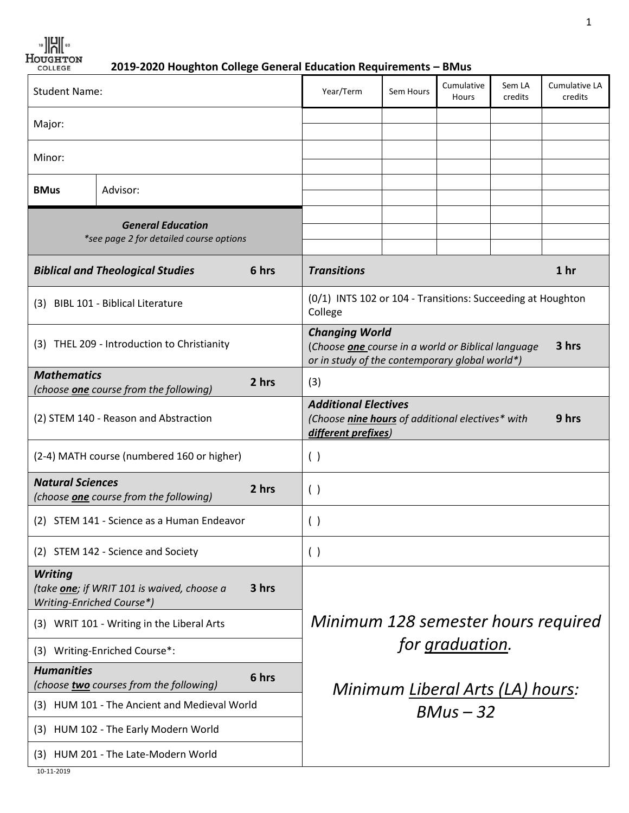$\frac{18}{18}$   $\frac{12}{18}$   $\frac{12}{18}$   $\frac{12}{18}$   $\frac{12}{18}$ 

 **2019-2020 Houghton College General Education Requirements – BMus**

| <b>Student Name:</b>                                                         |                                            | Year/Term                                                                                                                              | Sem Hours                                                                                                       | Cumulative<br><b>Hours</b> | Sem LA<br>credits | Cumulative LA<br>credits |                 |
|------------------------------------------------------------------------------|--------------------------------------------|----------------------------------------------------------------------------------------------------------------------------------------|-----------------------------------------------------------------------------------------------------------------|----------------------------|-------------------|--------------------------|-----------------|
| Major:                                                                       |                                            |                                                                                                                                        |                                                                                                                 |                            |                   |                          |                 |
| Minor:                                                                       |                                            |                                                                                                                                        |                                                                                                                 |                            |                   |                          |                 |
| <b>BMus</b>                                                                  | Advisor:                                   |                                                                                                                                        |                                                                                                                 |                            |                   |                          |                 |
| <b>General Education</b><br>*see page 2 for detailed course options          |                                            |                                                                                                                                        |                                                                                                                 |                            |                   |                          |                 |
| 6 hrs<br><b>Biblical and Theological Studies</b>                             |                                            |                                                                                                                                        | <b>Transitions</b>                                                                                              |                            |                   |                          | 1 <sub>hr</sub> |
| (3) BIBL 101 - Biblical Literature                                           |                                            | (0/1) INTS 102 or 104 - Transitions: Succeeding at Houghton<br>College                                                                 |                                                                                                                 |                            |                   |                          |                 |
| (3) THEL 209 - Introduction to Christianity                                  |                                            | <b>Changing World</b><br>3 hrs<br>(Choose one course in a world or Biblical language<br>or in study of the contemporary global world*) |                                                                                                                 |                            |                   |                          |                 |
| <b>Mathematics</b><br>2 hrs<br>(choose <b>one</b> course from the following) |                                            |                                                                                                                                        | (3)                                                                                                             |                            |                   |                          |                 |
| (2) STEM 140 - Reason and Abstraction                                        |                                            |                                                                                                                                        | <b>Additional Electives</b><br>9 hrs<br>(Choose nine hours of additional electives* with<br>different prefixes) |                            |                   |                          |                 |
| (2-4) MATH course (numbered 160 or higher)                                   |                                            | ( )                                                                                                                                    |                                                                                                                 |                            |                   |                          |                 |
| <b>Natural Sciences</b><br>2 hrs<br>(choose one course from the following)   |                                            |                                                                                                                                        | ( )                                                                                                             |                            |                   |                          |                 |
| (2) STEM 141 - Science as a Human Endeavor                                   |                                            | ( )                                                                                                                                    |                                                                                                                 |                            |                   |                          |                 |
| (2) STEM 142 - Science and Society                                           |                                            | ( )                                                                                                                                    |                                                                                                                 |                            |                   |                          |                 |
| <b>Writing</b><br>Writing-Enriched Course*)                                  | (take one; if WRIT 101 is waived, choose a | 3 hrs                                                                                                                                  |                                                                                                                 |                            |                   |                          |                 |
| (3) WRIT 101 - Writing in the Liberal Arts                                   |                                            |                                                                                                                                        | Minimum 128 semester hours required                                                                             |                            |                   |                          |                 |
| (3) Writing-Enriched Course*:                                                |                                            | for graduation.                                                                                                                        |                                                                                                                 |                            |                   |                          |                 |
| <b>Humanities</b><br>6 hrs<br>(choose two courses from the following)        |                                            |                                                                                                                                        | Minimum Liberal Arts (LA) hours:                                                                                |                            |                   |                          |                 |
| (3) HUM 101 - The Ancient and Medieval World                                 |                                            | $BMus - 32$                                                                                                                            |                                                                                                                 |                            |                   |                          |                 |
| (3) HUM 102 - The Early Modern World                                         |                                            |                                                                                                                                        |                                                                                                                 |                            |                   |                          |                 |
| (3) HUM 201 - The Late-Modern World                                          |                                            |                                                                                                                                        |                                                                                                                 |                            |                   |                          |                 |